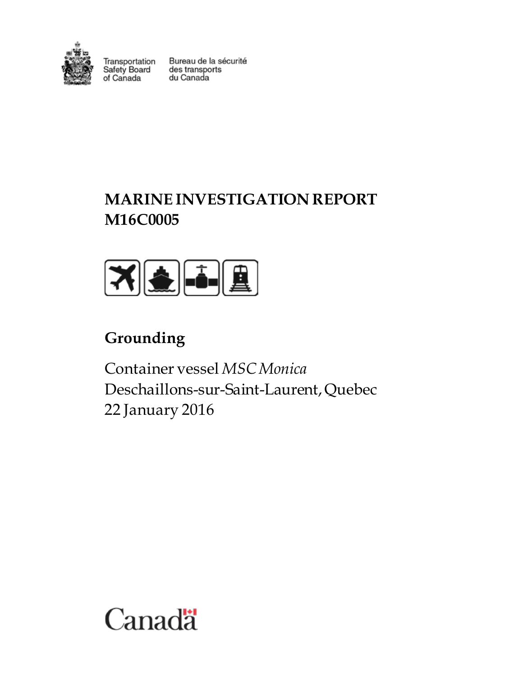

Transportation<br>Safety Board<br>of Canada

Bureau de la sécurité des transports du Canada

# **MARINE INVESTIGATION REPORT M16C0005**



# **Grounding**

Container vessel *MSC Monica* Deschaillons-sur-Saint-Laurent, Quebec 22 January 2016

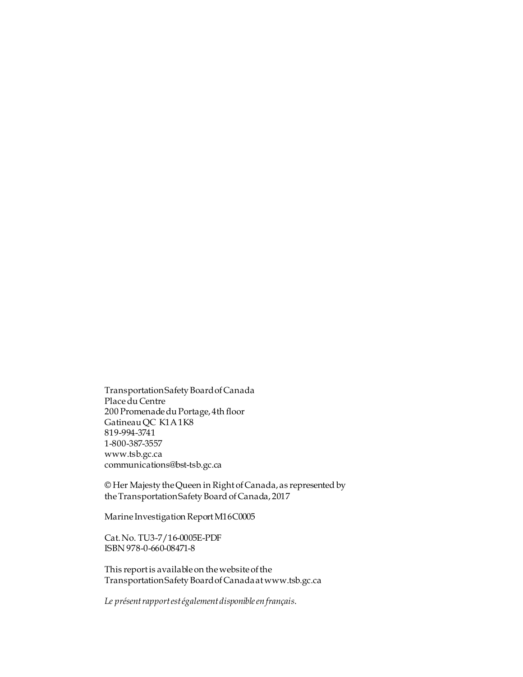Transportation Safety Board of Canada Place du Centre 200 Promenade du Portage, 4th floor Gatineau QC K1A 1K8 819-994-3741 1-800-387-3557 www.tsb.gc.ca communications@bst-tsb.gc.ca

© Her Majesty the Queen in Right of Canada, as represented by the Transportation Safety Board of Canada, 2017

Marine Investigation Report M16C0005

Cat. No. TU3-7/16-0005E-PDF ISBN 978-0-660-08471-8

This report is available on the website of the Transportation Safety Board of Canada at www.tsb.gc.ca

*Le présent rapport est également disponible en français*.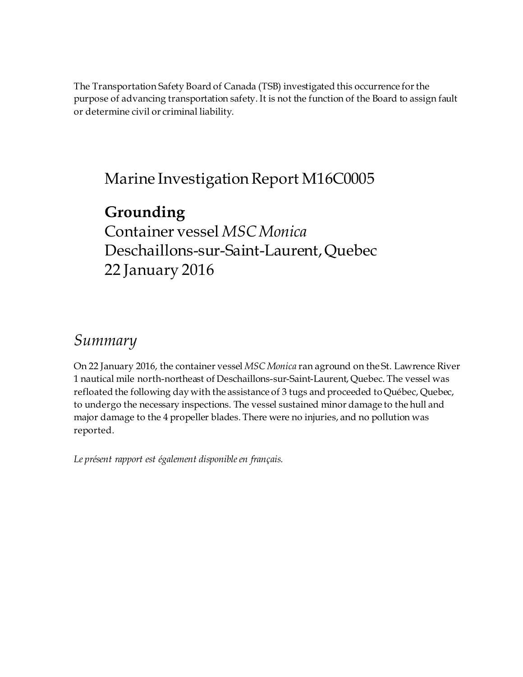The Transportation Safety Board of Canada (TSB) investigated this occurrence for the purpose of advancing transportation safety. It is not the function of the Board to assign fault or determine civil or criminal liability.

# Marine Investigation Report M16C0005

# **Grounding** Container vessel *MSC Monica* Deschaillons-sur-Saint-Laurent, Quebec 22 January 2016

# *Summary*

On 22 January 2016, the container vessel *MSC Monica* ran aground on the St. Lawrence River 1 nautical mile north-northeast of Deschaillons-sur-Saint-Laurent, Quebec. The vessel was refloated the following day with the assistance of 3 tugs and proceeded to Québec, Quebec, to undergo the necessary inspections. The vessel sustained minor damage to the hull and major damage to the 4 propeller blades. There were no injuries, and no pollution was reported.

*Le présent rapport est également disponible en français.*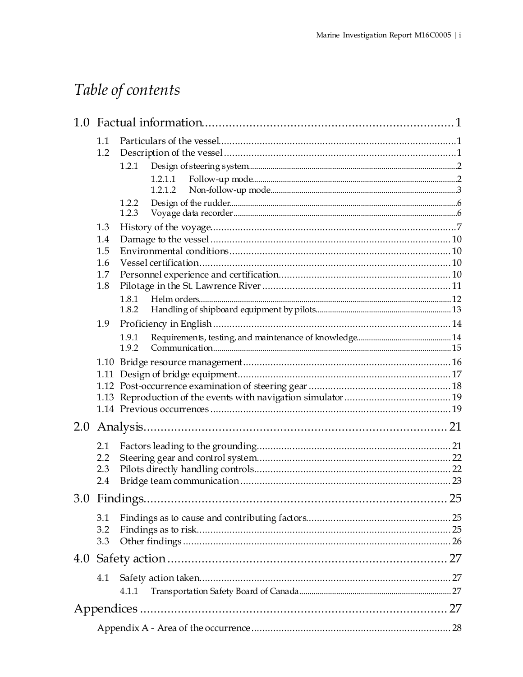# Table of contents

|     | 1.1  |                |  |
|-----|------|----------------|--|
|     | 1.2  |                |  |
|     |      | 1.2.1          |  |
|     |      | 1.2.1.1        |  |
|     |      | 1.2.1.2        |  |
|     |      | 1.2.2          |  |
|     |      | 1.2.3          |  |
|     | 1.3  |                |  |
|     | 1.4  |                |  |
|     | 1.5  |                |  |
|     | 1.6  |                |  |
|     | 1.7  |                |  |
|     | 1.8  |                |  |
|     |      | 1.8.1<br>1.8.2 |  |
|     |      |                |  |
|     | 1.9  |                |  |
|     |      | 1.9.1<br>1.9.2 |  |
|     |      |                |  |
|     | 1.11 |                |  |
|     |      |                |  |
|     |      |                |  |
|     |      |                |  |
| 2.0 |      |                |  |
|     | 2.1  |                |  |
|     | 2.2  |                |  |
|     | 2.3  |                |  |
|     | 2.4  |                |  |
|     |      |                |  |
|     | 3.1  |                |  |
|     | 3.2  |                |  |
|     | 3.3  |                |  |
| 4.0 |      |                |  |
|     | 4.1  |                |  |
|     |      | 4.1.1          |  |
|     |      |                |  |
|     |      |                |  |
|     |      |                |  |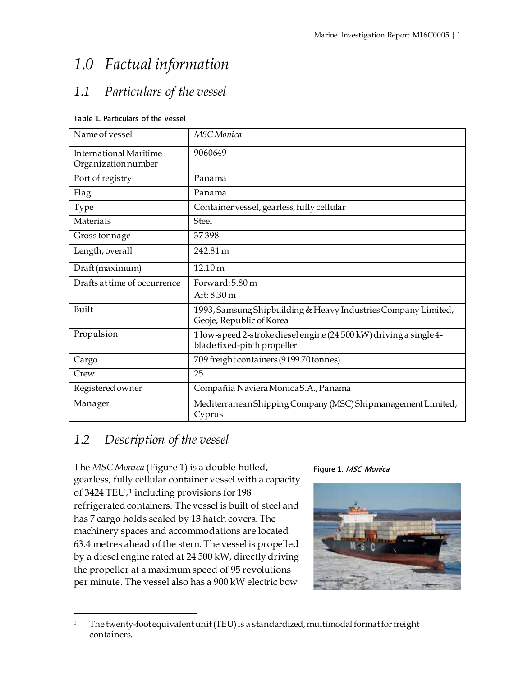# <span id="page-6-0"></span>*1.0 Factual information*

## <span id="page-6-1"></span>*1.1 Particulars of the vessel*

#### **Table 1. Particulars of the vessel**

| Name of vessel                                      | <b>MSC</b> Monica                                                                                 |
|-----------------------------------------------------|---------------------------------------------------------------------------------------------------|
| <b>International Maritime</b><br>Organizationnumber | 9060649                                                                                           |
| Port of registry                                    | Panama                                                                                            |
| Flag                                                | Panama                                                                                            |
| <b>Type</b>                                         | Container vessel, gearless, fully cellular                                                        |
| Materials                                           | <b>Steel</b>                                                                                      |
| Gross tonnage                                       | 37398                                                                                             |
| Length, overall                                     | 242.81 m                                                                                          |
| Draft (maximum)                                     | 12.10 m                                                                                           |
| Drafts at time of occurrence                        | Forward: 5.80 m<br>Aft: 8.30 m                                                                    |
| Built                                               | 1993, Samsung Shipbuilding & Heavy Industries Company Limited,<br>Geoje, Republic of Korea        |
| Propulsion                                          | 1 low-speed 2-stroke diesel engine (24 500 kW) driving a single 4-<br>blade fixed-pitch propeller |
| Cargo                                               | 709 freight containers (9199.70 tonnes)                                                           |
| Crew                                                | 25                                                                                                |
| Registered owner                                    | Compañia Naviera Monica S.A., Panama                                                              |
| Manager                                             | Mediterranean Shipping Company (MSC) Shipmanagement Limited,<br>Cyprus                            |

## <span id="page-6-2"></span>*1.2 Description of the vessel*

The *MSC Monica* (Figure 1) is a double-hulled, gearless, fully cellular container vessel with a capacity of 3424 TEU, [1](#page-6-3) including provisions for 198 refrigerated containers. The vessel is built of steel and has 7 cargo holds sealed by 13 hatch covers. The machinery spaces and accommodations are located 63.4 metres ahead of the stern. The vessel is propelled by a diesel engine rated at 24 500 kW, directly driving the propeller at a maximum speed of 95 revolutions per minute. The vessel also has a 900 kW electric bow



<span id="page-6-3"></span>

<sup>&</sup>lt;sup>1</sup> The twenty-foot equivalent unit (TEU) is a standardized, multimodal format for freight containers.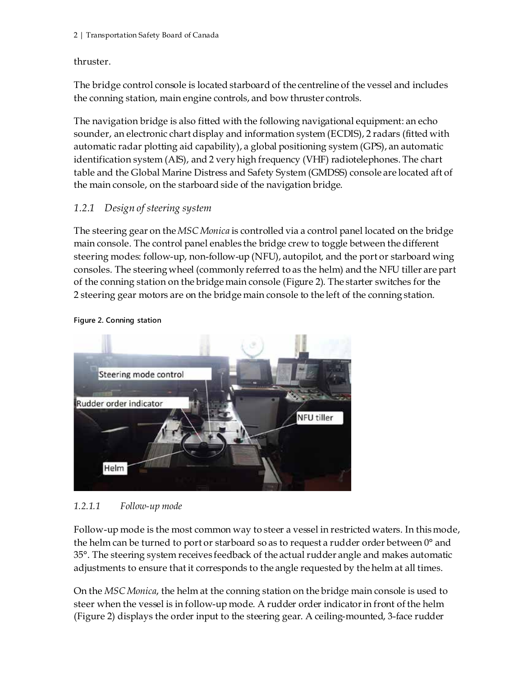#### thruster.

The bridge control console is located starboard of the centreline of the vessel and includes the conning station, main engine controls, and bow thruster controls.

The navigation bridge is also fitted with the following navigational equipment: an echo sounder, an electronic chart display and information system (ECDIS), 2 radars (fitted with automatic radar plotting aid capability), a global positioning system (GPS), an automatic identification system (AIS), and 2 very high frequency (VHF) radiotelephones. The chart table and the Global Marine Distress and Safety System (GMDSS) console are located aft of the main console, on the starboard side of the navigation bridge.

### <span id="page-7-0"></span>*1.2.1 Design of steering system*

The steering gear on the *MSC Monica* is controlled via a control panel located on the bridge main console. The control panel enables the bridge crew to toggle between the different steering modes: follow-up, non-follow-up (NFU), autopilot, and the port or starboard wing consoles. The steering wheel (commonly referred to as the helm) and the NFU tiller are part of the conning station on the bridge main console (Figure 2). The starter switches for the 2 steering gear motors are on the bridge main console to the left of the conning station.



**Figure 2. Conning station**

#### <span id="page-7-1"></span>*1.2.1.1 Follow-up mode*

Follow-up mode is the most common way to steer a vessel in restricted waters. In this mode, the helm can be turned to port or starboard so as to request a rudder order between 0° and 35°. The steering system receives feedback of the actual rudder angle and makes automatic adjustments to ensure that it corresponds to the angle requested by the helm at all times.

On the *MSC Monica*, the helm at the conning station on the bridge main console is used to steer when the vessel is in follow-up mode. A rudder order indicator in front of the helm (Figure 2) displays the order input to the steering gear. A ceiling-mounted, 3-face rudder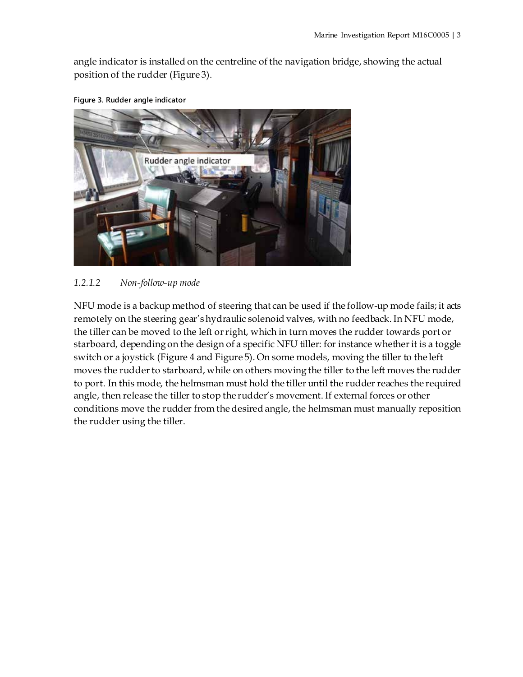angle indicator is installed on the centreline of the navigation bridge, showing the actual position of the rudder (Figure 3).



**Figure 3. Rudder angle indicator**

#### <span id="page-8-0"></span>*1.2.1.2 Non-follow-up mode*

NFU mode is a backup method of steering that can be used if the follow-up mode fails; it acts remotely on the steering gear's hydraulic solenoid valves, with no feedback. In NFU mode, the tiller can be moved to the left or right, which in turn moves the rudder towards port or starboard, depending on the design of a specific NFU tiller: for instance whether it is a toggle switch or a joystick (Figure 4 and Figure 5). On some models, moving the tiller to the left moves the rudder to starboard, while on others moving the tiller to the left moves the rudder to port. In this mode, the helmsman must hold the tiller until the rudder reaches the required angle, then release the tiller to stop the rudder's movement. If external forces or other conditions move the rudder from the desired angle, the helmsman must manually reposition the rudder using the tiller.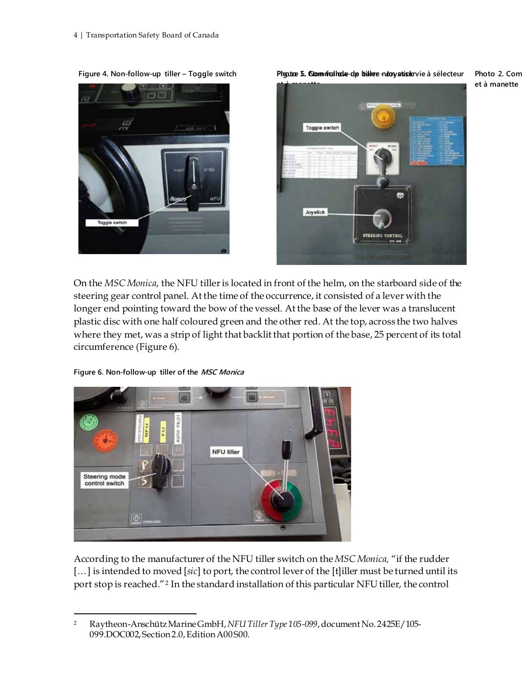

**Figure 4. Non-follow-up tiller – Toggle switch Photo 1. Commande de barre non asservie à sélecteur Figure 5. Non-follow-up tiller - Joystick Photo 2. Comm** 



On the *MSC Monica*, the NFU tiller is located in front of the helm, on the starboard side of the steering gear control panel. At the time of the occurrence, it consisted of a lever with the longer end pointing toward the bow of the vessel. At the base of the lever was a translucent plastic disc with one half coloured green and the other red. At the top, across the two halves where they met, was a strip of light that backlit that portion of the base, 25 percent of its total circumference (Figure 6).

**Figure 6. Non-follow-up tiller of the MSC Monica**



According to the manufacturer of the NFU tiller switch on the *MSC Monica,* "if the rudder [...] is intended to moved [sic] to port, the control lever of the [t]iller must be turned until its port stop is reached."[2](#page-9-0) In the standard installation of this particular NFU tiller, the control

**et à manette**

<span id="page-9-0"></span> <sup>2</sup> Raytheon-Anschütz Marine GmbH,*NFU Tiller Type 105-099*, document No. 2425E/105- 099.DOC002, Section 2.0, Edition A00 S00.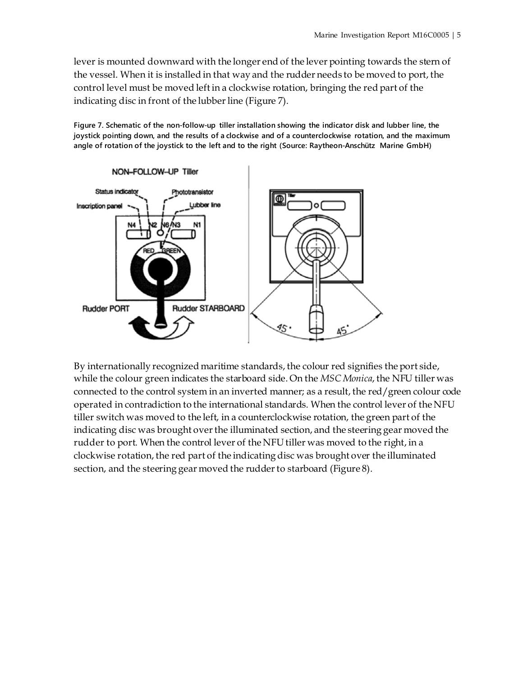lever is mounted downward with the longer end of the lever pointing towards the stern of the vessel. When it is installed in that way and the rudder needs to be moved to port, the control level must be moved left in a clockwise rotation, bringing the red part of the indicating disc in front of the lubber line (Figure 7).

**Figure 7. Schematic of the non-follow-up tiller installation showing the indicator disk and lubber line, the joystick pointing down, and the results of a clockwise and of a counterclockwise rotation, and the maximum angle of rotation of the joystick to the left and to the right (Source: Raytheon-Anschütz Marine GmbH)**



By internationally recognized maritime standards, the colour red signifies the port side, while the colour green indicates the starboard side. On the *MSC Monica*, the NFU tiller was connected to the control system in an inverted manner; as a result, the red/green colour code operated in contradiction to the international standards. When the control lever of the NFU tiller switch was moved to the left, in a counterclockwise rotation, the green part of the indicating disc was brought over the illuminated section, and the steering gear moved the rudder to port. When the control lever of the NFU tiller was moved to the right, in a clockwise rotation, the red part of the indicating disc was brought over the illuminated section, and the steering gear moved the rudder to starboard (Figure 8).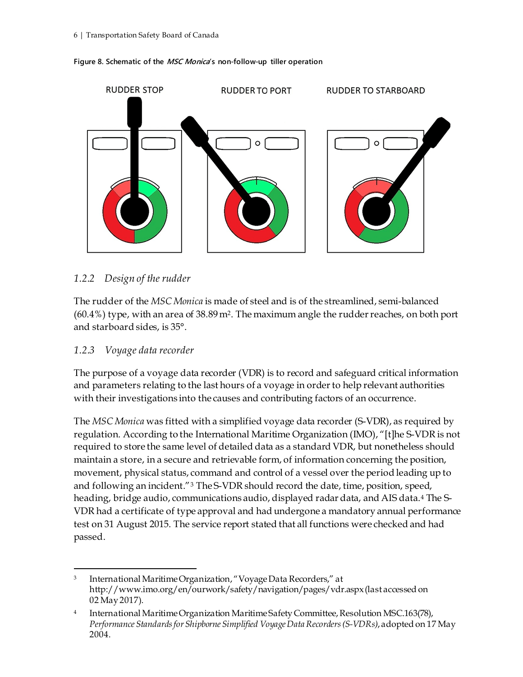

#### **Figure 8. Schematic of the MSC Monica's non-follow-up tiller operation**

#### <span id="page-11-0"></span>*1.2.2 Design of the rudder*

The rudder of the *MSC Monica* is made of steel and is of the streamlined, semi-balanced (60.4%) type, with an area of 38.89 m2. The maximum angle the rudder reaches, on both port and starboard sides, is 35°.

#### <span id="page-11-1"></span>*1.2.3 Voyage data recorder*

The purpose of a voyage data recorder (VDR) is to record and safeguard critical information and parameters relating to the last hours of a voyage in order to help relevant authorities with their investigations into the causes and contributing factors of an occurrence.

The *MSC Monica* was fitted with a simplified voyage data recorder (S-VDR), as required by regulation. According to the International Maritime Organization (IMO), "[t]he S-VDR is not required to store the same level of detailed data as a standard VDR, but nonetheless should maintain a store, in a secure and retrievable form, of information concerning the position, movement, physical status, command and control of a vessel over the period leading up to and following an incident."[3](#page-11-2) The S-VDR should record the date, time, position, speed, heading, bridge audio, communications audio, displayed radar data, and AIS data.[4](#page-11-3) The S-VDR had a certificate of type approval and had undergone a mandatory annual performance test on 31 August 2015. The service report stated that all functions were checked and had passed.

<span id="page-11-2"></span> <sup>3</sup> International Maritime Organization, "Voyage Data Recorders," at http://www.imo.org/en/ourwork/safety/navigation/pages/vdr.aspx(last accessed on 02 May2017).

<span id="page-11-3"></span><sup>4</sup> International Maritime Organization Maritime Safety Committee, Resolution MSC.163(78), *Performance Standards for Shipborne Simplified Voyage Data Recorders (S-VDRs)*, adopted on 17 May 2004.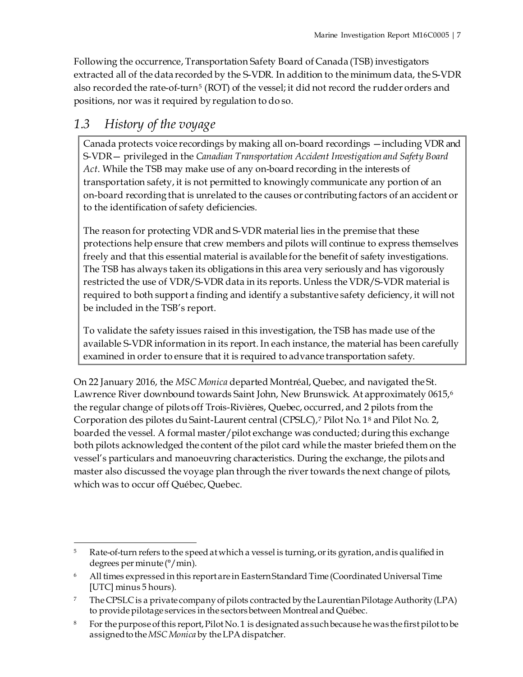Following the occurrence, Transportation Safety Board of Canada (TSB) investigators extracted all of the data recorded by the S-VDR. In addition to the minimum data, the S-VDR also recorded the rate-of-turn<sup>[5](#page-12-1)</sup> (ROT) of the vessel; it did not record the rudder orders and positions, nor was it required by regulation to do so.

## <span id="page-12-0"></span>*1.3 History of the voyage*

Canada protects voice recordings by making all on-board recordings —including VDR and S-VDR— privileged in the *Canadian Transportation Accident Investigation and Safety Board Act*. While the TSB may make use of any on-board recording in the interests of transportation safety, it is not permitted to knowingly communicate any portion of an on-board recording that is unrelated to the causes or contributing factors of an accident or to the identification of safety deficiencies.

The reason for protecting VDR and S-VDR material lies in the premise that these protections help ensure that crew members and pilots will continue to express themselves freely and that this essential material is available for the benefit of safety investigations. The TSB has always taken its obligations in this area very seriously and has vigorously restricted the use of VDR/S-VDR data in its reports. Unless the VDR/S-VDR material is required to both support a finding and identify a substantive safety deficiency, it will not be included in the TSB's report.

To validate the safety issues raised in this investigation, the TSB has made use of the available S-VDR information in its report. In each instance, the material has been carefully examined in order to ensure that it is required to advance transportation safety.

On 22 January 2016, the *MSC Monica* departed Montréal, Quebec, and navigated the St. Lawrence River downbound towards Saint John, New Brunswick. At approximately 0615,[6](#page-12-2) the regular change of pilots off Trois-Rivières, Quebec, occurred, and 2 pilots from the Corporation des pilotes du Saint-Laurent central (CPSLC),[7](#page-12-3) Pilot No. 1[8](#page-12-4) and Pilot No. 2, boarded the vessel. A formal master/pilot exchange was conducted; during this exchange both pilots acknowledged the content of the pilot card while the master briefed them on the vessel's particulars and manoeuvring characteristics. During the exchange, the pilots and master also discussed the voyage plan through the river towards the next change of pilots, which was to occur off Québec, Quebec.

<span id="page-12-1"></span> <sup>5</sup> Rate-of-turn refers to the speed at which a vessel is turning, or its gyration, and is qualified in degrees per minute (°/min).

<span id="page-12-2"></span><sup>6</sup> All times expressed in this report are in Eastern Standard Time (Coordinated Universal Time [UTC] minus 5 hours).

<span id="page-12-3"></span><sup>&</sup>lt;sup>7</sup> The CPSLC is a private company of pilots contracted by the Laurentian Pilotage Authority (LPA) to provide pilotage services in the sectors between Montreal and Québec.

<span id="page-12-4"></span><sup>&</sup>lt;sup>8</sup> For the purpose of this report, Pilot No. 1 is designated as such because he was the first pilot to be assigned to the *MSC Monica* by the LPA dispatcher.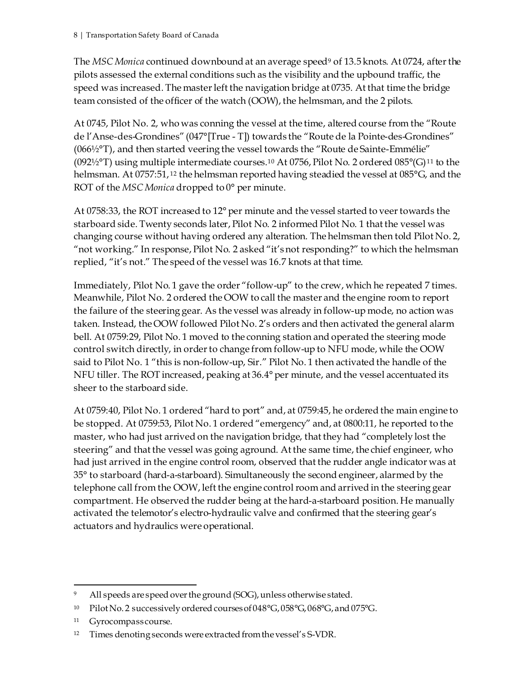The *MSC Monica* continued downbound at an average speed<sup>[9](#page-13-0)</sup> of 13.5 knots. At 0724, after the pilots assessed the external conditions such as the visibility and the upbound traffic, the speed was increased. The master left the navigation bridge at 0735. At that time the bridge team consisted of the officer of the watch (OOW), the helmsman, and the 2 pilots.

At 0745, Pilot No. 2, who was conning the vessel at the time, altered course from the "Route de l'Anse-des-Grondines" (047°[True - T]) towards the "Route de la Pointe-des-Grondines" (066½°T), and then started veering the vessel towards the "Route de Sainte-Emmélie" (092½°T) using multiple intermediate courses.<sup>[10](#page-13-1)</sup> At 0756, Pilot No. 2 ordered 085°(G)<sup>[11](#page-13-2)</sup> to the helmsman. At 0757:51, [12](#page-13-3) the helmsman reported having steadied the vessel at 085°G, and the ROT of the *MSC Monica* dropped to 0° per minute.

At 0758:33, the ROT increased to 12° per minute and the vessel started to veer towards the starboard side. Twenty seconds later, Pilot No. 2 informed Pilot No. 1 that the vessel was changing course without having ordered any alteration. The helmsman then told Pilot No. 2, "not working." In response, Pilot No. 2 asked "it's not responding?" to which the helmsman replied, "it's not." The speed of the vessel was 16.7 knots at that time.

Immediately, Pilot No. 1 gave the order "follow-up" to the crew, which he repeated 7 times. Meanwhile, Pilot No. 2 ordered the OOW to call the master and the engine room to report the failure of the steering gear. As the vessel was already in follow-up mode, no action was taken. Instead, the OOW followed Pilot No. 2's orders and then activated the general alarm bell. At 0759:29, Pilot No. 1 moved to the conning station and operated the steering mode control switch directly, in order to change from follow-up to NFU mode, while the OOW said to Pilot No. 1 "this is non-follow-up, Sir." Pilot No. 1 then activated the handle of the NFU tiller. The ROT increased, peaking at 36.4° per minute, and the vessel accentuated its sheer to the starboard side.

At 0759:40, Pilot No. 1 ordered "hard to port" and, at 0759:45, he ordered the main engine to be stopped. At 0759:53, Pilot No. 1 ordered "emergency" and, at 0800:11, he reported to the master, who had just arrived on the navigation bridge, that they had "completely lost the steering" and that the vessel was going aground. At the same time, the chief engineer, who had just arrived in the engine control room, observed that the rudder angle indicator was at 35° to starboard (hard-a-starboard). Simultaneously the second engineer, alarmed by the telephone call from the OOW, left the engine control room and arrived in the steering gear compartment. He observed the rudder being at the hard-a-starboard position. He manually activated the telemotor's electro-hydraulic valve and confirmed that the steering gear's actuators and hydraulics were operational.

All speeds are speed over the ground (SOG), unless otherwise stated.

<span id="page-13-1"></span><span id="page-13-0"></span><sup>10</sup> Pilot No. 2 successively ordered courses of 048°G, 058°G, 068°G, and 075°G.

<span id="page-13-2"></span><sup>&</sup>lt;sup>11</sup> Gyrocompass course.

<span id="page-13-3"></span><sup>12</sup> Times denoting seconds were extracted from the vessel's S-VDR.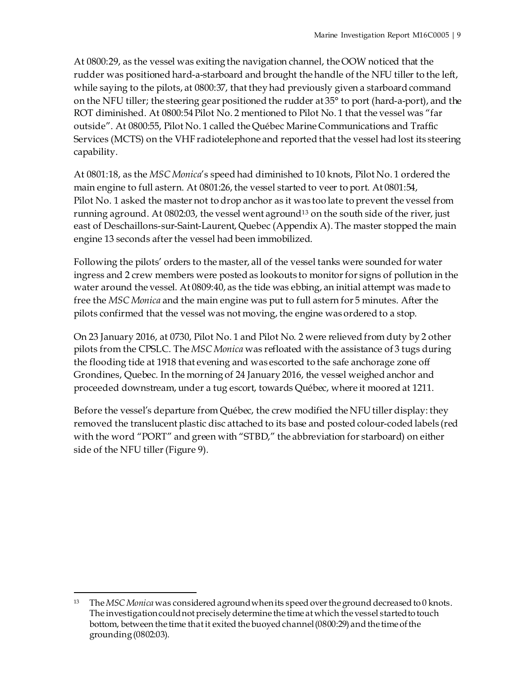At 0800:29, as the vessel was exiting the navigation channel, the OOW noticed that the rudder was positioned hard-a-starboard and brought the handle of the NFU tiller to the left, while saying to the pilots, at 0800:37, that they had previously given a starboard command on the NFU tiller; the steering gear positioned the rudder at 35° to port (hard-a-port), and the ROT diminished. At 0800:54 Pilot No. 2 mentioned to Pilot No. 1 that the vessel was "far outside". At 0800:55, Pilot No. 1 called the Québec Marine Communications and Traffic Services (MCTS) on the VHF radiotelephone and reported that the vessel had lost its steering capability.

At 0801:18, as the *MSC Monica*'s speed had diminished to 10 knots, Pilot No. 1 ordered the main engine to full astern. At 0801:26, the vessel started to veer to port. At 0801:54, Pilot No. 1 asked the master not to drop anchor as it was too late to prevent the vessel from running aground. At 0802:03, the vessel went aground[13](#page-14-0) on the south side of the river, just east of Deschaillons-sur-Saint-Laurent, Quebec (Appendix A). The master stopped the main engine 13 seconds after the vessel had been immobilized.

Following the pilots' orders to the master, all of the vessel tanks were sounded for water ingress and 2 crew members were posted as lookouts to monitor for signs of pollution in the water around the vessel. At 0809:40, as the tide was ebbing, an initial attempt was made to free the *MSC Monica* and the main engine was put to full astern for 5 minutes. After the pilots confirmed that the vessel was not moving, the engine was ordered to a stop.

On 23 January 2016, at 0730, Pilot No. 1 and Pilot No. 2 were relieved from duty by 2 other pilots from the CPSLC. The *MSC Monica* was refloated with the assistance of 3 tugs during the flooding tide at 1918 that evening and was escorted to the safe anchorage zone off Grondines, Quebec. In the morning of 24 January 2016, the vessel weighed anchor and proceeded downstream, under a tug escort, towards Québec, where it moored at 1211.

Before the vessel's departure from Québec, the crew modified the NFU tiller display: they removed the translucent plastic disc attached to its base and posted colour-coded labels (red with the word "PORT" and green with "STBD," the abbreviation for starboard) on either side of the NFU tiller (Figure 9).

<span id="page-14-0"></span> <sup>13</sup> The *MSC Monica* was considered aground whenits speed over the ground decreased to 0 knots. The investigation couldnot precisely determine the time at which the vessel started to touch bottom, between the time that it exited the buoyed channel (0800:29) and the time of the grounding(0802:03).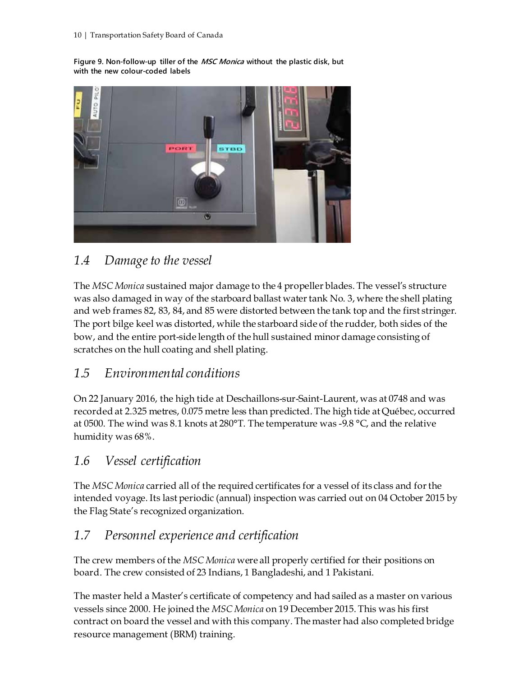**Figure 9. Non-follow-up tiller of the MSC Monica without the plastic disk, but with the new colour-coded labels**



## <span id="page-15-0"></span>*1.4 Damage to the vessel*

The *MSC Monica* sustained major damage to the 4 propeller blades. The vessel's structure was also damaged in way of the starboard ballast water tank No. 3, where the shell plating and web frames 82, 83, 84, and 85 were distorted between the tank top and the first stringer. The port bilge keel was distorted, while the starboard side of the rudder, both sides of the bow, and the entire port-side length of the hull sustained minor damage consisting of scratches on the hull coating and shell plating.

## <span id="page-15-1"></span>*1.5 Environmental conditions*

On 22 January 2016, the high tide at Deschaillons-sur-Saint-Laurent, was at 0748 and was recorded at 2.325 metres, 0.075 metre less than predicted. The high tide at Québec, occurred at 0500. The wind was 8.1 knots at 280°T. The temperature was -9.8 °C, and the relative humidity was 68%.

## <span id="page-15-2"></span>*1.6 Vessel certification*

The *MSC Monica* carried all of the required certificates for a vessel of its class and for the intended voyage. Its last periodic (annual) inspection was carried out on 04 October 2015 by the Flag State's recognized organization.

## <span id="page-15-3"></span>*1.7 Personnel experience and certification*

The crew members of the *MSC Monica* were all properly certified for their positions on board. The crew consisted of 23 Indians, 1 Bangladeshi, and 1 Pakistani.

The master held a Master's certificate of competency and had sailed as a master on various vessels since 2000. He joined the *MSC Monica* on 19 December 2015. This was his first contract on board the vessel and with this company. The master had also completed bridge resource management (BRM) training.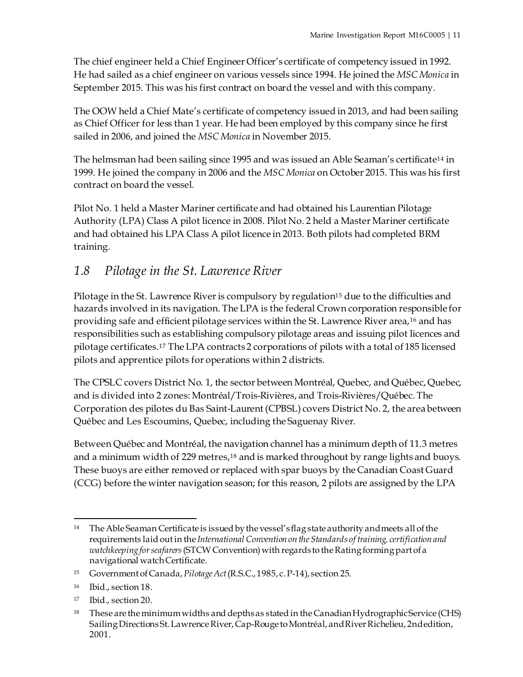The chief engineer held a Chief Engineer Officer's certificate of competency issued in 1992. He had sailed as a chief engineer on various vessels since 1994. He joined the *MSC Monica* in September 2015. This was his first contract on board the vessel and with this company.

The OOW held a Chief Mate's certificate of competency issued in 2013, and had been sailing as Chief Officer for less than 1 year. He had been employed by this company since he first sailed in 2006, and joined the *MSC Monica* in November 2015.

The helmsman had been sailing since 1995 and was issued an Able Seaman's certificate[14](#page-16-1) in 1999. He joined the company in 2006 and the *MSC Monica* on October 2015. This was his first contract on board the vessel.

Pilot No. 1 held a Master Mariner certificate and had obtained his Laurentian Pilotage Authority (LPA) Class A pilot licence in 2008. Pilot No. 2 held a Master Mariner certificate and had obtained his LPA Class A pilot licence in 2013. Both pilots had completed BRM training.

## <span id="page-16-0"></span>*1.8 Pilotage in the St. Lawrence River*

Pilotage in the St. Lawrence River is compulsory by regulation<sup>[15](#page-16-2)</sup> due to the difficulties and hazards involved in its navigation. The LPA is the federal Crown corporation responsible for providing safe and efficient pilotage services within the St. Lawrence River area,[16](#page-16-3) and has responsibilities such as establishing compulsory pilotage areas and issuing pilot licences and pilotage certificates[.17](#page-16-4) The LPA contracts 2 corporations of pilots with a total of 185 licensed pilots and apprentice pilots for operations within 2 districts.

The CPSLC covers District No. 1, the sector between Montréal, Quebec, and Québec, Quebec, and is divided into 2 zones: Montréal/Trois-Rivières, and Trois-Rivières/Québec. The Corporation des pilotes du Bas Saint-Laurent (CPBSL) covers District No. 2, the area between Québec and Les Escoumins, Quebec, including the Saguenay River.

Between Québec and Montréal, the navigation channel has a minimum depth of 11.3 metres and a minimum width of 229 metres,<sup>[18](#page-16-5)</sup> and is marked throughout by range lights and buoys. These buoys are either removed or replaced with spar buoys by the Canadian Coast Guard (CCG) before the winter navigation season; for this reason, 2 pilots are assigned by the LPA

<span id="page-16-1"></span><sup>&</sup>lt;sup>14</sup> The Able Seaman Certificate is issued by the vessel's flag state authority and meets all of the requirements laid out in the *International Convention on the Standards of training, certification and watchkeeping for seafarers*(STCWConvention) with regards to the Rating forming part of a navigational watch Certificate.

<span id="page-16-2"></span><sup>15</sup> Government of Canada, *Pilotage Act*(R.S.C., 1985, c. P-14), section 25.

<span id="page-16-3"></span><sup>16</sup> Ibid., section 18.

<span id="page-16-4"></span><sup>17</sup> Ibid., section 20.

<span id="page-16-5"></span><sup>&</sup>lt;sup>18</sup> These are the minimum widths and depths as stated in the Canadian Hydrographic Service (CHS) Sailing Directions St. Lawrence River, Cap-Rouge to Montréal, and River Richelieu, 2ndedition, 2001.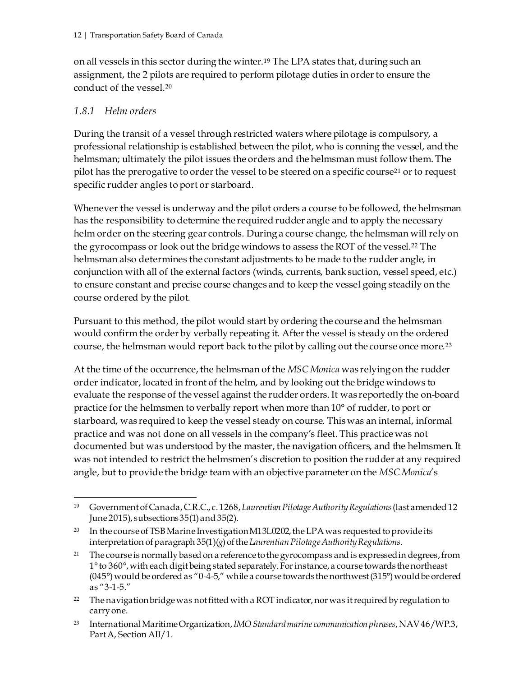on all vessels in this sector during the winter.[19](#page-17-1) The LPA states that, during such an assignment, the 2 pilots are required to perform pilotage duties in order to ensure the conduct of the vessel.[20](#page-17-2)

#### <span id="page-17-0"></span>*1.8.1 Helm orders*

During the transit of a vessel through restricted waters where pilotage is compulsory, a professional relationship is established between the pilot, who is conning the vessel, and the helmsman; ultimately the pilot issues the orders and the helmsman must follow them. The pilot has the prerogative to order the vessel to be steered on a specific course[21](#page-17-3) or to request specific rudder angles to port or starboard.

Whenever the vessel is underway and the pilot orders a course to be followed, the helmsman has the responsibility to determine the required rudder angle and to apply the necessary helm order on the steering gear controls. During a course change, the helmsman will rely on the gyrocompass or look out the bridge windows to assess the ROT of the vessel.[22](#page-17-4) The helmsman also determines the constant adjustments to be made to the rudder angle, in conjunction with all of the external factors (winds, currents, bank suction, vessel speed, etc.) to ensure constant and precise course changes and to keep the vessel going steadily on the course ordered by the pilot.

Pursuant to this method, the pilot would start by ordering the course and the helmsman would confirm the order by verbally repeating it. After the vessel is steady on the ordered course, the helmsman would report back to the pilot by calling out the course once more.[23](#page-17-5)

At the time of the occurrence, the helmsman of the *MSC Monica* was relying on the rudder order indicator, located in front of the helm, and by looking out the bridge windows to evaluate the response of the vessel against the rudder orders. It was reportedly the on-board practice for the helmsmen to verbally report when more than 10° of rudder, to port or starboard, was required to keep the vessel steady on course. This was an internal, informal practice and was not done on all vessels in the company's fleet. This practice was not documented but was understood by the master, the navigation officers, and the helmsmen. It was not intended to restrict the helmsmen's discretion to position the rudder at any required angle, but to provide the bridge team with an objective parameter on the *MSC Monica*'s

<span id="page-17-1"></span> <sup>19</sup> Government of Canada, C.R.C., c. 1268, *Laurentian Pilotage Authority Regulations*(last amended 12 June 2015), subsections 35(1) and 35(2).

<span id="page-17-2"></span><sup>&</sup>lt;sup>20</sup> In the course of TSB Marine Investigation M13L0202, the LPA was requested to provide its interpretation of paragraph 35(1)(*g*)of the *Laurentian Pilotage Authority Regulations*.

<span id="page-17-3"></span><sup>&</sup>lt;sup>21</sup> The course is normally based on a reference to the gyrocompass and is expressed in degrees, from 1° to 360°, with each digit being stated separately.For instance, a course towards the northeast (045 $\degree$ ) would be ordered as "0-4-5," while a course towards the northwest (315 $\degree$ ) would be ordered as "3-1-5."

<span id="page-17-4"></span><sup>&</sup>lt;sup>22</sup> The navigation bridge was not fitted with a ROT indicator, nor was it required by regulation to carry one.

<span id="page-17-5"></span><sup>23</sup> International Maritime Organization,*IMO Standard marine communication phrases*,NAV46/WP.3, Part A, Section AII/1.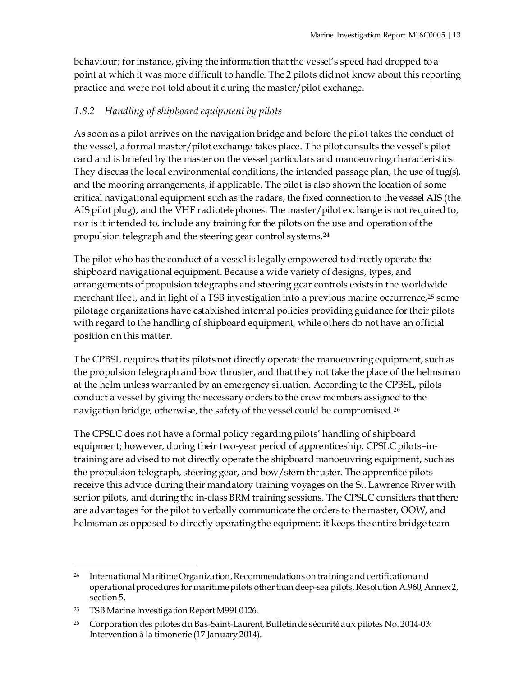behaviour; for instance, giving the information that the vessel's speed had dropped to a point at which it was more difficult to handle. The 2 pilots did not know about this reporting practice and were not told about it during the master/pilot exchange.

### <span id="page-18-0"></span>*1.8.2 Handling of shipboard equipment by pilots*

As soon as a pilot arrives on the navigation bridge and before the pilot takes the conduct of the vessel, a formal master/pilot exchange takes place. The pilot consults the vessel's pilot card and is briefed by the master on the vessel particulars and manoeuvring characteristics. They discuss the local environmental conditions, the intended passage plan, the use of tug(s), and the mooring arrangements, if applicable. The pilot is also shown the location of some critical navigational equipment such as the radars, the fixed connection to the vessel AIS (the AIS pilot plug), and the VHF radiotelephones. The master/pilot exchange is not required to, nor is it intended to, include any training for the pilots on the use and operation of the propulsion telegraph and the steering gear control systems.[24](#page-18-1)

The pilot who has the conduct of a vessel is legally empowered to directly operate the shipboard navigational equipment. Because a wide variety of designs, types, and arrangements of propulsion telegraphs and steering gear controls exists in the worldwide merchant fleet, and in light of a TSB investigation into a previous marine occurrence,<sup>[25](#page-18-2)</sup> some pilotage organizations have established internal policies providing guidance for their pilots with regard to the handling of shipboard equipment, while others do not have an official position on this matter.

The CPBSL requires that its pilots not directly operate the manoeuvring equipment, such as the propulsion telegraph and bow thruster, and that they not take the place of the helmsman at the helm unless warranted by an emergency situation. According to the CPBSL, pilots conduct a vessel by giving the necessary orders to the crew members assigned to the navigation bridge; otherwise, the safety of the vessel could be compromised.[26](#page-18-3)

The CPSLC does not have a formal policy regarding pilots' handling of shipboard equipment; however, during their two-year period of apprenticeship, CPSLC pilots–intraining are advised to not directly operate the shipboard manoeuvring equipment, such as the propulsion telegraph, steering gear, and bow/stern thruster. The apprentice pilots receive this advice during their mandatory training voyages on the St. Lawrence River with senior pilots, and during the in-class BRM training sessions. The CPSLC considers that there are advantages for the pilot to verbally communicate the orders to the master, OOW, and helmsman as opposed to directly operating the equipment: it keeps the entire bridge team

<span id="page-18-1"></span><sup>&</sup>lt;sup>24</sup> International Maritime Organization, Recommendations on training and certification and operational procedures for maritime pilots other than deep-sea pilots,Resolution A.960, Annex 2, section 5.

<span id="page-18-2"></span><sup>25</sup> TSB Marine Investigation Report M99L0126.

<span id="page-18-3"></span><sup>&</sup>lt;sup>26</sup> Corporation des pilotes du Bas-Saint-Laurent, Bulletin de sécurité aux pilotes No. 2014-03: Intervention à la timonerie (17 January 2014).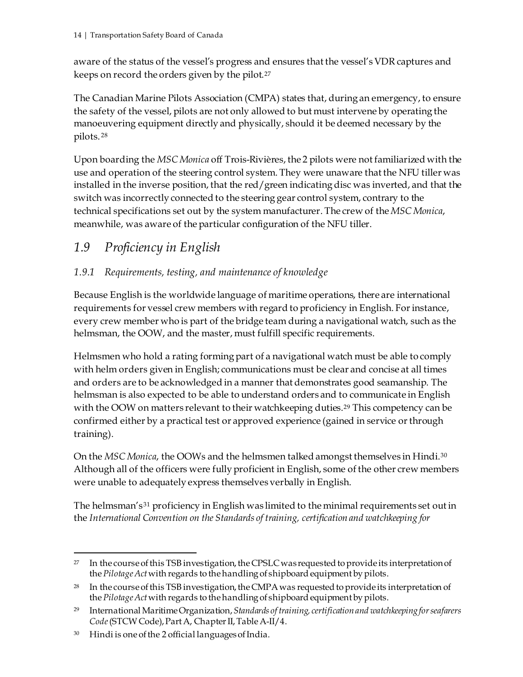aware of the status of the vessel's progress and ensures that the vessel's VDR captures and keeps on record the orders given by the pilot.[27](#page-19-2) 

The Canadian Marine Pilots Association (CMPA) states that, during an emergency, to ensure the safety of the vessel, pilots are not only allowed to but must intervene by operating the manoeuvering equipment directly and physically, should it be deemed necessary by the pilots. [28](#page-19-3)

Upon boarding the *MSC Monica* off Trois-Rivières, the 2 pilots were not familiarized with the use and operation of the steering control system. They were unaware that the NFU tiller was installed in the inverse position, that the red/green indicating disc was inverted, and that the switch was incorrectly connected to the steering gear control system, contrary to the technical specifications set out by the system manufacturer. The crew of the *MSC Monica*, meanwhile, was aware of the particular configuration of the NFU tiller.

## <span id="page-19-0"></span>*1.9 Proficiency in English*

### <span id="page-19-1"></span>*1.9.1 Requirements, testing, and maintenance of knowledge*

Because English is the worldwide language of maritime operations, there are international requirements for vessel crew members with regard to proficiency in English. For instance, every crew member who is part of the bridge team during a navigational watch, such as the helmsman, the OOW, and the master, must fulfill specific requirements.

Helmsmen who hold a rating forming part of a navigational watch must be able to comply with helm orders given in English; communications must be clear and concise at all times and orders are to be acknowledged in a manner that demonstrates good seamanship. The helmsman is also expected to be able to understand orders and to communicate in English with the OOW on matters relevant to their watchkeeping duties.<sup>[29](#page-19-4)</sup> This competency can be confirmed either by a practical test or approved experience (gained in service or through training).

On the *MSC Monica*, the OOWs and the helmsmen talked amongst themselves in Hindi.[30](#page-19-5) Although all of the officers were fully proficient in English, some of the other crew members were unable to adequately express themselves verbally in English.

<span id="page-19-6"></span>The helmsman's[31](#page-19-6) proficiency in English was limited to the minimal requirements set out in the *International Convention on the Standards of training, certification and watchkeeping for* 

<span id="page-19-2"></span><sup>&</sup>lt;sup>27</sup> In the course of this TSB investigation, the CPSLC was requested to provide its interpretation of the *Pilotage Act* with regards to the handling of shipboard equipment by pilots.

<span id="page-19-3"></span><sup>28</sup> In the course of this TSB investigation, the CMPA was requested to provide its interpretation of the *Pilotage Act* with regards to the handling of shipboard equipment by pilots.

<span id="page-19-4"></span><sup>29</sup> International Maritime Organization, *Standards of training, certification and watchkeeping for seafarers Code*(STCW Code), Part A, Chapter II, Table A-II/4.

<span id="page-19-5"></span><sup>30</sup> Hindi is one of the 2 official languages of India.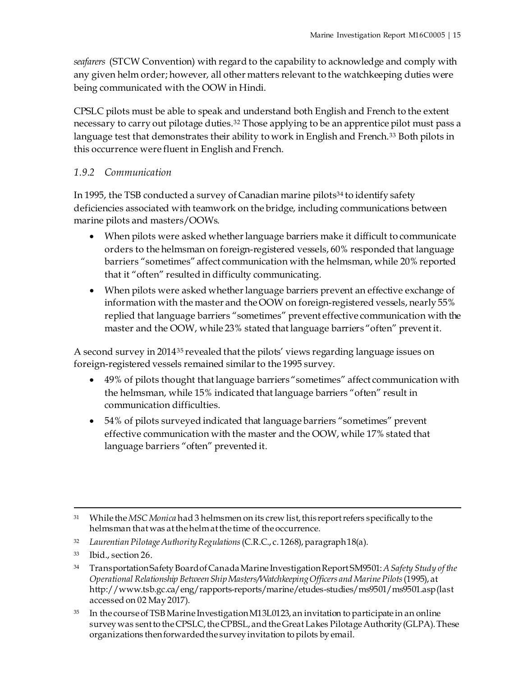*seafarers* (STCW Convention) with regard to the capability to acknowledge and comply with any given helm order; however, all other matters relevant to the watchkeeping duties were being communicated with the OOW in Hindi.

CPSLC pilots must be able to speak and understand both English and French to the extent necessary to carry out pilotage duties.[32](#page-20-1) Those applying to be an apprentice pilot must pass a language test that demonstrates their ability to work in English and French.<sup>[33](#page-20-2)</sup> Both pilots in this occurrence were fluent in English and French.

#### <span id="page-20-0"></span>*1.9.2 Communication*

In 1995, the TSB conducted a survey of Canadian marine pilots<sup>34</sup> to identify safety deficiencies associated with teamwork on the bridge, including communications between marine pilots and masters/OOWs.

- When pilots were asked whether language barriers make it difficult to communicate orders to the helmsman on foreign-registered vessels, 60% responded that language barriers "sometimes" affect communication with the helmsman, while 20% reported that it "often" resulted in difficulty communicating.
- When pilots were asked whether language barriers prevent an effective exchange of information with the master and the OOW on foreign-registered vessels, nearly 55% replied that language barriers "sometimes" prevent effective communication with the master and the OOW, while 23% stated that language barriers "often" prevent it.

A second survey in 2014[35](#page-20-4) revealed that the pilots' views regarding language issues on foreign-registered vessels remained similar to the 1995 survey.

- 49% of pilots thought that language barriers "sometimes" affect communication with the helmsman, while 15% indicated that language barriers "often" result in communication difficulties.
- 54% of pilots surveyed indicated that language barriers "sometimes" prevent effective communication with the master and the OOW, while 17% stated that language barriers "often" prevented it.

 <sup>31</sup> While the *MSC Monica* had 3 helmsmen on its crew list, this report refers specifically to the helmsman that was at the helm at the time of the occurrence.

<span id="page-20-1"></span><sup>32</sup> *Laurentian Pilotage Authority Regulations*(C.R.C., c. 1268), paragraph 18(a).

<span id="page-20-2"></span><sup>33</sup> Ibid., section 26.

<span id="page-20-3"></span><sup>34</sup> Transportation Safety Board of Canada Marine Investigation Report SM9501: *A Safety Study of the Operational Relationship Between Ship Masters/Watchkeeping Officers and Marine Pilots*(1995), at http://www.tsb.gc.ca/eng/rapports-reports/marine/etudes-studies/ms9501/ms9501.asp(last accessed on 02 May 2017).

<span id="page-20-4"></span><sup>35</sup> In the course of TSB Marine Investigation M13L0123, an invitation to participate in an online survey was sent to the CPSLC, the CPBSL, and the Great Lakes Pilotage Authority(GLPA). These organizations then forwarded the survey invitation to pilots by email.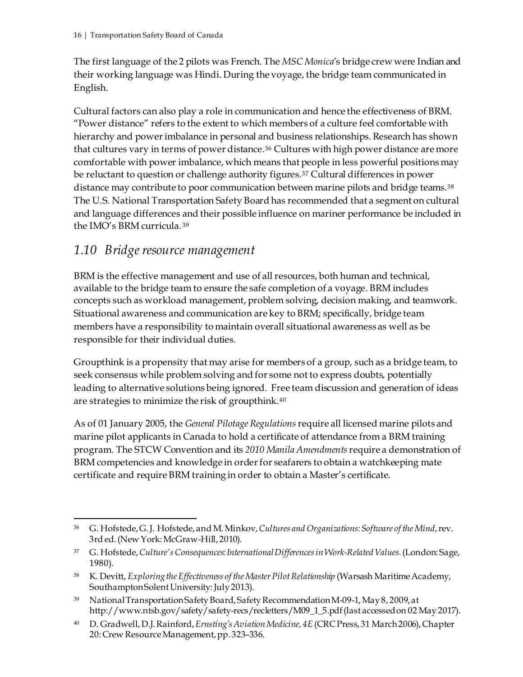The first language of the 2 pilots was French. The *MSC Monica*'s bridge crew were Indian and their working language was Hindi. During the voyage, the bridge team communicated in English.

Cultural factors can also play a role in communication and hence the effectiveness of BRM. "Power distance" refers to the extent to which members of a culture feel comfortable with hierarchy and power imbalance in personal and business relationships. Research has shown that cultures vary in terms of power distance.[36](#page-21-1) Cultures with high power distance are more comfortable with power imbalance, which means that people in less powerful positions may be reluctant to question or challenge authority figures.[37](#page-21-2) Cultural differences in power distance may contribute to poor communication between marine pilots and bridge teams.[38](#page-21-3) The U.S. National Transportation Safety Board has recommended that a segment on cultural and language differences and their possible influence on mariner performance be included in the IMO's BRM curricula. [39](#page-21-4)

## <span id="page-21-0"></span>*1.10 Bridge resource management*

BRM is the effective management and use of all resources, both human and technical, available to the bridge team to ensure the safe completion of a voyage. BRM includes concepts such as workload management, problem solving, decision making, and teamwork. Situational awareness and communication are key to BRM; specifically, bridge team members have a responsibility to maintain overall situational awareness as well as be responsible for their individual duties.

Groupthink is a propensity that may arise for members of a group, such as a bridge team, to seek consensus while problem solving and for some not to express doubts, potentially leading to alternative solutions being ignored. Free team discussion and generation of ideas are strategies to minimize the risk of groupthink.[40](#page-21-5)

As of 01 January 2005, the *General Pilotage Regulations* require all licensed marine pilots and marine pilot applicants in Canada to hold a certificate of attendance from a BRM training program. The STCW Convention and its *2010 Manila Amendments*require a demonstration of BRM competencies and knowledge in order for seafarers to obtain a watchkeeping mate certificate and require BRM training in order to obtain a Master's certificate.

<span id="page-21-1"></span> <sup>36</sup> G. Hofstede, G. J. Hofstede, and M. Minkov, *Cultures and Organizations: Software of the Mind*, rev. 3rd ed. (New York: McGraw-Hill, 2010).

<span id="page-21-2"></span><sup>37</sup> G. Hofstede, *Culture's Consequences: International Differences in Work-Related Values*.(London: Sage, 1980).

<span id="page-21-3"></span><sup>38</sup> K. Devitt, *Exploring the Effectiveness of the Master Pilot Relationship* (Warsash Maritime Academy, Southampton Solent University: July 2013).

<span id="page-21-4"></span><sup>39</sup> National Transportation Safety Board, Safety Recommendation M-09-1, May 8, 2009, at http://www.ntsb.gov/safety/safety-recs/recletters/M09\_1\_5.pdf(last accessed on 02 May2017).

<span id="page-21-5"></span><sup>40</sup> D. Gradwell, D.J. Rainford, *Ernsting's Aviation Medicine, 4E* (CRC Press, 31 March 2006), Chapter 20: Crew Resource Management, pp. 323–336.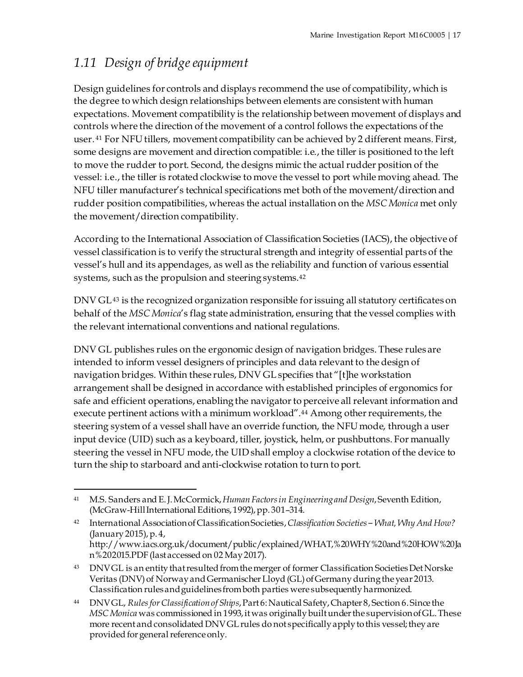# <span id="page-22-0"></span>*1.11 Design of bridge equipment*

Design guidelines for controls and displays recommend the use of compatibility, which is the degree to which design relationships between elements are consistent with human expectations. Movement compatibility is the relationship between movement of displays and controls where the direction of the movement of a control follows the expectations of the user. [41](#page-22-1) For NFU tillers, movement compatibility can be achieved by 2 different means. First, some designs are movement and direction compatible: i.e., the tiller is positioned to the left to move the rudder to port. Second, the designs mimic the actual rudder position of the vessel: i.e., the tiller is rotated clockwise to move the vessel to port while moving ahead. The NFU tiller manufacturer's technical specifications met both of the movement/direction and rudder position compatibilities, whereas the actual installation on the *MSC Monica* met only the movement/direction compatibility.

According to the International Association of Classification Societies (IACS), the objective of vessel classification is to verify the structural strength and integrity of essential parts of the vessel's hull and its appendages, as well as the reliability and function of various essential systems, such as the propulsion and steering systems.[42](#page-22-2)

DNV GL[43](#page-22-3) is the recognized organization responsible for issuing all statutory certificates on behalf of the *MSC Monica*'s flag state administration, ensuring that the vessel complies with the relevant international conventions and national regulations.

DNV GL publishes rules on the ergonomic design of navigation bridges. These rules are intended to inform vessel designers of principles and data relevant to the design of navigation bridges. Within these rules, DNV GL specifies that "[t]he workstation arrangement shall be designed in accordance with established principles of ergonomics for safe and efficient operations, enabling the navigator to perceive all relevant information and execute pertinent actions with a minimum workload".[44](#page-22-4) Among other requirements, the steering system of a vessel shall have an override function, the NFU mode, through a user input device (UID) such as a keyboard, tiller, joystick, helm, or pushbuttons. For manually steering the vessel in NFU mode, the UID shall employ a clockwise rotation of the device to turn the ship to starboard and anti-clockwise rotation to turn to port.

<span id="page-22-1"></span> <sup>41</sup> M.S. Sanders and E. J. McCormick, *Human Factors in Engineering and Design*, Seventh Edition, (McGraw-Hill International Editions, 1992), pp. 301–314.

<span id="page-22-2"></span><sup>42</sup> International Association of Classification Societies, *Classification Societies ‒ What, Why And How?* (January 2015), p. 4, http://www.iacs.org.uk/document/public/explained/WHAT,%20WHY%20and%20HOW%20Ja n%202015.PDF(last accessed on 02 May2017).

<span id="page-22-3"></span><sup>43</sup> DNV GL is an entity that resulted from the merger of former Classification Societies Det Norske Veritas (DNV) of Norway and Germanischer Lloyd (GL) of Germany during the year 2013. Classification rules and guidelines from both parties were subsequently harmonized.

<span id="page-22-4"></span><sup>44</sup> DNV GL, *Rules for Classification of Ships*, Part 6: Nautical Safety, Chapter 8, Section 6. Since the *MSC Monica* was commissioned in 1993, it was originally built under the supervision of GL. These more recent and consolidated DNV GL rules do not specifically apply to this vessel; they are provided for general reference only.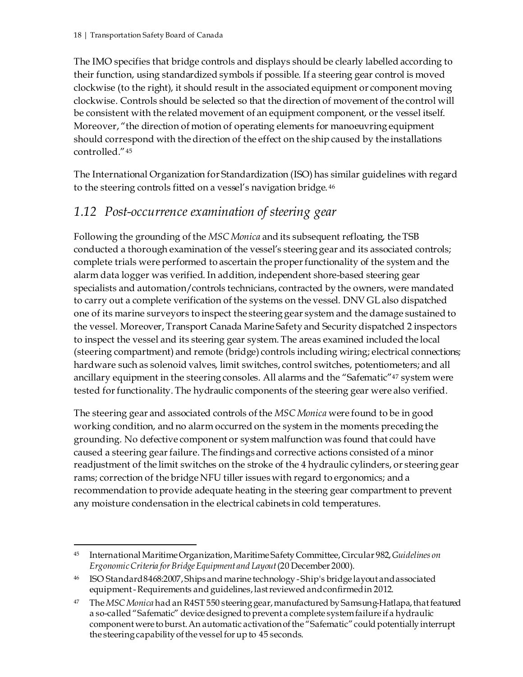The IMO specifies that bridge controls and displays should be clearly labelled according to their function, using standardized symbols if possible. If a steering gear control is moved clockwise (to the right), it should result in the associated equipment or component moving clockwise. Controls should be selected so that the direction of movement of the control will be consistent with the related movement of an equipment component, or the vessel itself. Moreover, "the direction of motion of operating elements for manoeuvring equipment should correspond with the direction of the effect on the ship caused by the installations controlled."[45](#page-23-1)

The International Organization for Standardization (ISO) has similar guidelines with regard to the steering controls fitted on a vessel's navigation bridge. [46](#page-23-2)

## <span id="page-23-0"></span>*1.12 Post-occurrence examination of steering gear*

Following the grounding of the *MSC Monica* and its subsequent refloating, the TSB conducted a thorough examination of the vessel's steering gear and its associated controls; complete trials were performed to ascertain the proper functionality of the system and the alarm data logger was verified. In addition, independent shore-based steering gear specialists and automation/controls technicians, contracted by the owners, were mandated to carry out a complete verification of the systems on the vessel. DNV GL also dispatched one of its marine surveyors to inspect the steering gear system and the damage sustained to the vessel. Moreover, Transport Canada Marine Safety and Security dispatched 2 inspectors to inspect the vessel and its steering gear system. The areas examined included the local (steering compartment) and remote (bridge) controls including wiring; electrical connections; hardware such as solenoid valves, limit switches, control switches, potentiometers; and all ancillary equipment in the steering consoles. All alarms and the "Safematic["47](#page-23-3) system were tested for functionality. The hydraulic components of the steering gear were also verified.

The steering gear and associated controls of the *MSC Monica* were found to be in good working condition, and no alarm occurred on the system in the moments preceding the grounding. No defective component or system malfunction was found that could have caused a steering gear failure. The findings and corrective actions consisted of a minor readjustment of the limit switches on the stroke of the 4 hydraulic cylinders, or steering gear rams; correction of the bridge NFU tiller issues with regard to ergonomics; and a recommendation to provide adequate heating in the steering gear compartment to prevent any moisture condensation in the electrical cabinets in cold temperatures.

<span id="page-23-1"></span> <sup>45</sup> International Maritime Organization, Maritime Safety Committee, Circular 982, *Guidelines on Ergonomic Criteria for Bridge Equipment and Layout*(20 December 2000).

<span id="page-23-2"></span><sup>46</sup> ISO Standard8468:2007, Ships and marine technology -Ship's bridge layout and associated equipment -Requirements and guidelines,last reviewed and confirmedin 2012.

<span id="page-23-3"></span><sup>47</sup> The *MSC Monica* had an R4ST 550 steering gear, manufactured by Samsung-Hatlapa, that featured a so-called "Safematic" device designed to prevent a complete system failure if a hydraulic component were to burst. An automatic activation of the "Safematic" could potentiallyinterrupt the steering capability of the vessel for up to 45 seconds.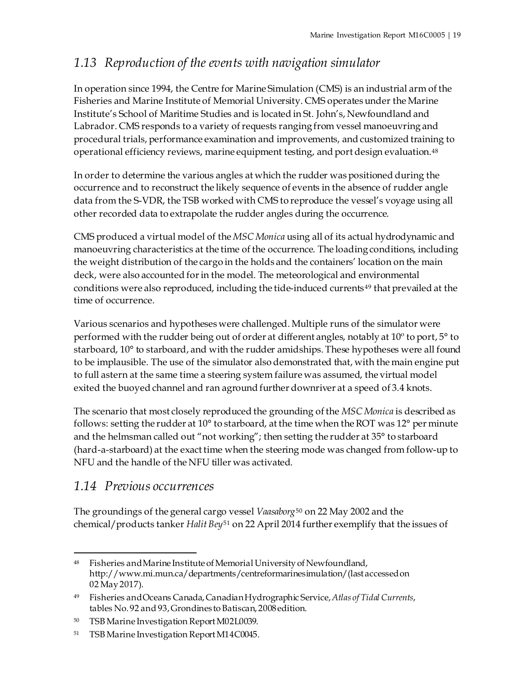## <span id="page-24-0"></span>*1.13 Reproduction of the events with navigation simulator*

In operation since 1994, the Centre for Marine Simulation (CMS) is an industrial arm of the Fisheries and Marine Institute of Memorial University. CMS operates under the Marine Institute's School of Maritime Studies and is located in St. John's, Newfoundland and Labrador. CMS responds to a variety of requests ranging from vessel manoeuvring and procedural trials, performance examination and improvements, and customized training to operational efficiency reviews, marine equipment testing, and port design evaluation.[48](#page-24-2)

In order to determine the various angles at which the rudder was positioned during the occurrence and to reconstruct the likely sequence of events in the absence of rudder angle data from the S-VDR, the TSB worked with CMS to reproduce the vessel's voyage using all other recorded data to extrapolate the rudder angles during the occurrence.

CMS produced a virtual model of the *MSC Monica* using all of its actual hydrodynamic and manoeuvring characteristics at the time of the occurrence. The loading conditions, including the weight distribution of the cargo in the holds and the containers' location on the main deck, were also accounted for in the model. The meteorological and environmental conditions were also reproduced, including the tide-induced currents<sup>[49](#page-24-3)</sup> that prevailed at the time of occurrence.

Various scenarios and hypotheses were challenged. Multiple runs of the simulator were performed with the rudder being out of order at different angles, notably at 10º to port, 5° to starboard, 10° to starboard, and with the rudder amidships. These hypotheses were all found to be implausible. The use of the simulator also demonstrated that, with the main engine put to full astern at the same time a steering system failure was assumed, the virtual model exited the buoyed channel and ran aground further downriver at a speed of 3.4 knots.

The scenario that most closely reproduced the grounding of the *MSC Monica* is described as follows: setting the rudder at 10° to starboard, at the time when the ROT was 12° per minute and the helmsman called out "not working"; then setting the rudder at 35° to starboard (hard-a-starboard) at the exact time when the steering mode was changed from follow-up to NFU and the handle of the NFU tiller was activated.

## <span id="page-24-1"></span>*1.14 Previous occurrences*

The groundings of the general cargo vessel *Vaasaborg*[50](#page-24-4) on 22 May 2002 and the chemical/products tanker *Halit Bey*[51](#page-24-5) on 22 April 2014 further exemplify that the issues of

<span id="page-24-2"></span><sup>&</sup>lt;sup>48</sup> Fisheries and Marine Institute of Memorial University of Newfoundland, http://www.mi.mun.ca/departments/centreformarinesimulation/(last accessed on 02 May2017).

<span id="page-24-3"></span><sup>49</sup> Fisheries and Oceans Canada, Canadian Hydrographic Service, *Atlas of Tidal Currents*, tables No. 92 and 93, Grondines to Batiscan, 2008edition.

<span id="page-24-4"></span><sup>50</sup> TSB Marine Investigation Report M02L0039.

<span id="page-24-5"></span><sup>51</sup> TSB Marine Investigation Report M14C0045.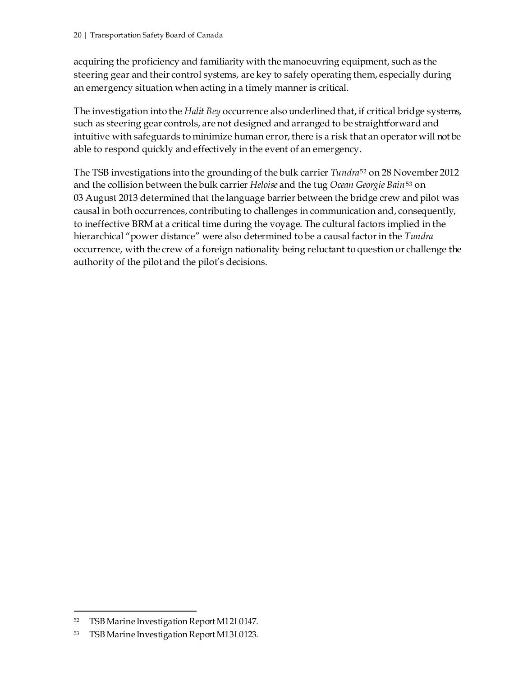acquiring the proficiency and familiarity with the manoeuvring equipment, such as the steering gear and their control systems, are key to safely operating them, especially during an emergency situation when acting in a timely manner is critical.

The investigation into the *Halit Bey* occurrence also underlined that, if critical bridge systems, such as steering gear controls, are not designed and arranged to be straightforward and intuitive with safeguards to minimize human error, there is a risk that an operator will not be able to respond quickly and effectively in the event of an emergency.

The TSB investigations into the grounding of the bulk carrier *Tundra*[52](#page-25-0) on 28 November 2012 and the collision between the bulk carrier *Heloise* and the tug *Ocean Georgie Bain*[53](#page-25-1) on 03 August 2013 determined that the language barrier between the bridge crew and pilot was causal in both occurrences, contributing to challenges in communication and, consequently, to ineffective BRM at a critical time during the voyage. The cultural factors implied in the hierarchical "power distance" were also determined to be a causal factor in the *Tundra* occurrence, with the crew of a foreign nationality being reluctant to question or challenge the authority of the pilot and the pilot's decisions.

<span id="page-25-0"></span> <sup>52</sup> TSB Marine Investigation Report M12L0147.

<span id="page-25-1"></span><sup>53</sup> TSB Marine Investigation Report M13L0123.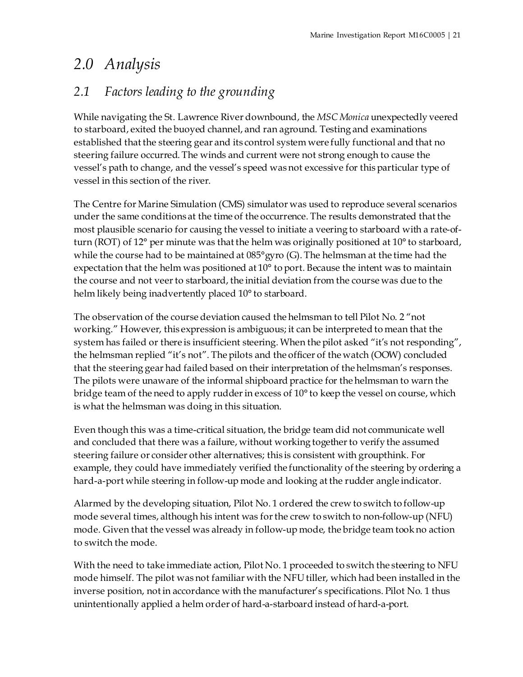# <span id="page-26-0"></span>*2.0 Analysis*

## <span id="page-26-1"></span>*2.1 Factors leading to the grounding*

While navigating the St. Lawrence River downbound, the *MSC Monica* unexpectedly veered to starboard, exited the buoyed channel, and ran aground. Testing and examinations established that the steering gear and its control system were fully functional and that no steering failure occurred. The winds and current were not strong enough to cause the vessel's path to change, and the vessel's speed was not excessive for this particular type of vessel in this section of the river.

The Centre for Marine Simulation (CMS) simulator was used to reproduce several scenarios under the same conditions at the time of the occurrence. The results demonstrated that the most plausible scenario for causing the vessel to initiate a veering to starboard with a rate-ofturn (ROT) of 12° per minute was that the helm was originally positioned at 10° to starboard, while the course had to be maintained at  $085^{\circ}$ gyro (G). The helmsman at the time had the expectation that the helm was positioned at 10° to port. Because the intent was to maintain the course and not veer to starboard, the initial deviation from the course was due to the helm likely being inadvertently placed 10<sup>°</sup> to starboard.

The observation of the course deviation caused the helmsman to tell Pilot No. 2 "not working." However, this expression is ambiguous; it can be interpreted to mean that the system has failed or there is insufficient steering. When the pilot asked "it's not responding", the helmsman replied "it's not". The pilots and the officer of the watch (OOW) concluded that the steering gear had failed based on their interpretation of the helmsman's responses. The pilots were unaware of the informal shipboard practice for the helmsman to warn the bridge team of the need to apply rudder in excess of 10° to keep the vessel on course, which is what the helmsman was doing in this situation.

Even though this was a time-critical situation, the bridge team did not communicate well and concluded that there was a failure, without working together to verify the assumed steering failure or consider other alternatives; this is consistent with groupthink. For example, they could have immediately verified the functionality of the steering by ordering a hard-a-port while steering in follow-up mode and looking at the rudder angle indicator.

Alarmed by the developing situation, Pilot No. 1 ordered the crew to switch to follow-up mode several times, although his intent was for the crew to switch to non-follow-up (NFU) mode. Given that the vessel was already in follow-up mode, the bridge team took no action to switch the mode.

With the need to take immediate action, Pilot No. 1 proceeded to switch the steering to NFU mode himself. The pilot was not familiar with the NFU tiller, which had been installed in the inverse position, not in accordance with the manufacturer's specifications. Pilot No. 1 thus unintentionally applied a helm order of hard-a-starboard instead of hard-a-port.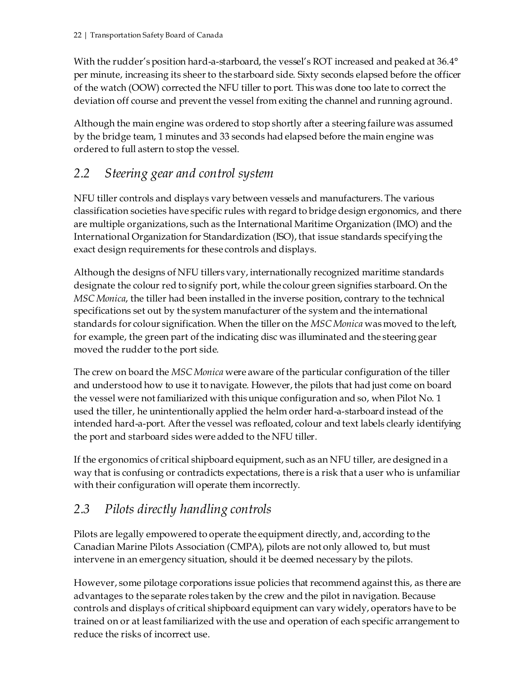With the rudder's position hard-a-starboard, the vessel's ROT increased and peaked at 36.4° per minute, increasing its sheer to the starboard side. Sixty seconds elapsed before the officer of the watch (OOW) corrected the NFU tiller to port. This was done too late to correct the deviation off course and prevent the vessel from exiting the channel and running aground.

Although the main engine was ordered to stop shortly after a steering failure was assumed by the bridge team, 1 minutes and 33 seconds had elapsed before the main engine was ordered to full astern to stop the vessel.

## <span id="page-27-0"></span>*2.2 Steering gear and control system*

NFU tiller controls and displays vary between vessels and manufacturers. The various classification societies have specific rules with regard to bridge design ergonomics, and there are multiple organizations, such as the International Maritime Organization (IMO) and the International Organization for Standardization (ISO), that issue standards specifying the exact design requirements for these controls and displays.

Although the designs of NFU tillers vary, internationally recognized maritime standards designate the colour red to signify port, while the colour green signifies starboard. On the *MSC Monica*, the tiller had been installed in the inverse position, contrary to the technical specifications set out by the system manufacturer of the system and the international standards for colour signification. When the tiller on the *MSC Monica* was moved to the left, for example, the green part of the indicating disc was illuminated and the steering gear moved the rudder to the port side.

The crew on board the *MSC Monica* were aware of the particular configuration of the tiller and understood how to use it to navigate. However, the pilots that had just come on board the vessel were not familiarized with this unique configuration and so, when Pilot No. 1 used the tiller, he unintentionally applied the helm order hard-a-starboard instead of the intended hard-a-port. After the vessel was refloated, colour and text labels clearly identifying the port and starboard sides were added to the NFU tiller.

If the ergonomics of critical shipboard equipment, such as an NFU tiller, are designed in a way that is confusing or contradicts expectations, there is a risk that a user who is unfamiliar with their configuration will operate them incorrectly.

## <span id="page-27-1"></span>*2.3 Pilots directly handling controls*

Pilots are legally empowered to operate the equipment directly, and, according to the Canadian Marine Pilots Association (CMPA), pilots are not only allowed to, but must intervene in an emergency situation, should it be deemed necessary by the pilots.

However, some pilotage corporations issue policies that recommend against this, as there are advantages to the separate roles taken by the crew and the pilot in navigation. Because controls and displays of critical shipboard equipment can vary widely, operators have to be trained on or at least familiarized with the use and operation of each specific arrangement to reduce the risks of incorrect use.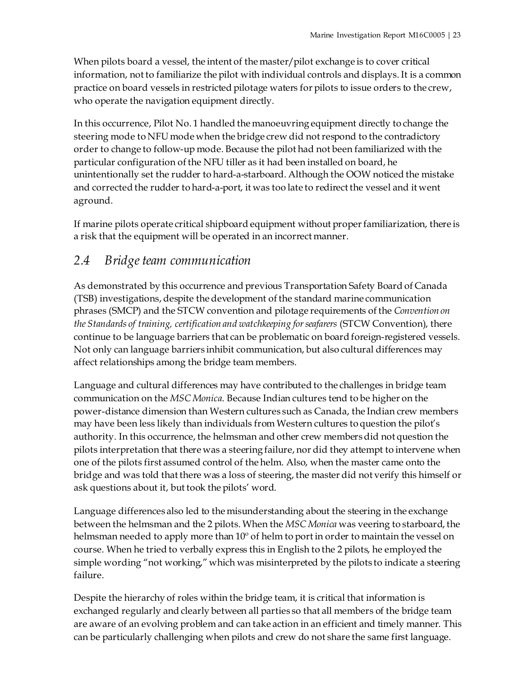When pilots board a vessel, the intent of the master/pilot exchange is to cover critical information, not to familiarize the pilot with individual controls and displays. It is a common practice on board vessels in restricted pilotage waters for pilots to issue orders to the crew, who operate the navigation equipment directly.

In this occurrence, Pilot No. 1 handled the manoeuvring equipment directly to change the steering mode to NFU mode when the bridge crew did not respond to the contradictory order to change to follow-up mode. Because the pilot had not been familiarized with the particular configuration of the NFU tiller as it had been installed on board, he unintentionally set the rudder to hard-a-starboard. Although the OOW noticed the mistake and corrected the rudder to hard-a-port, it was too late to redirect the vessel and it went aground.

If marine pilots operate critical shipboard equipment without proper familiarization, there is a risk that the equipment will be operated in an incorrect manner.

## <span id="page-28-0"></span>*2.4 Bridge team communication*

As demonstrated by this occurrence and previous Transportation Safety Board of Canada (TSB) investigations, despite the development of the standard marine communication phrases (SMCP) and the STCW convention and pilotage requirements of the *Convention on the Standards of training, certification and watchkeeping for seafarers* (STCW Convention), there continue to be language barriers that can be problematic on board foreign-registered vessels. Not only can language barriers inhibit communication, but also cultural differences may affect relationships among the bridge team members.

Language and cultural differences may have contributed to the challenges in bridge team communication on the *MSC Monica*. Because Indian cultures tend to be higher on the power-distance dimension than Western cultures such as Canada, the Indian crew members may have been less likely than individuals from Western cultures to question the pilot's authority. In this occurrence, the helmsman and other crew members did not question the pilots interpretation that there was a steering failure, nor did they attempt to intervene when one of the pilots first assumed control of the helm. Also, when the master came onto the bridge and was told that there was a loss of steering, the master did not verify this himself or ask questions about it, but took the pilots' word.

Language differences also led to the misunderstanding about the steering in the exchange between the helmsman and the 2 pilots. When the *MSC Monica* was veering to starboard, the helmsman needed to apply more than 10º of helm to port in order to maintain the vessel on course. When he tried to verbally express this in English to the 2 pilots, he employed the simple wording "not working," which was misinterpreted by the pilots to indicate a steering failure.

Despite the hierarchy of roles within the bridge team, it is critical that information is exchanged regularly and clearly between all parties so that all members of the bridge team are aware of an evolving problem and can take action in an efficient and timely manner. This can be particularly challenging when pilots and crew do not share the same first language.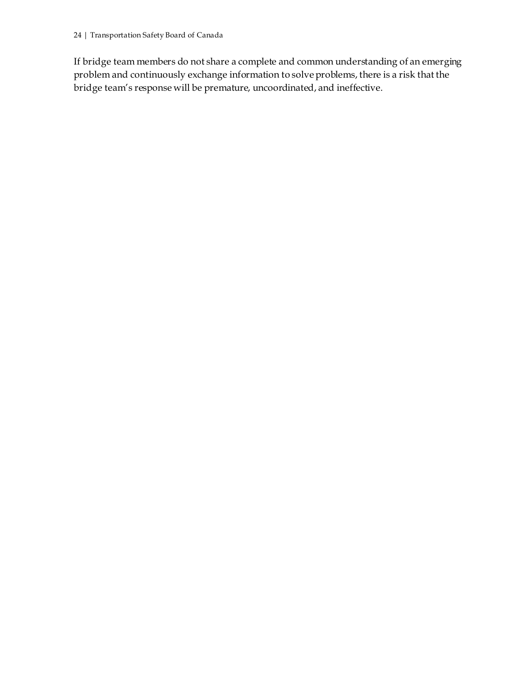If bridge team members do not share a complete and common understanding of an emerging problem and continuously exchange information to solve problems, there is a risk that the bridge team's response will be premature, uncoordinated, and ineffective.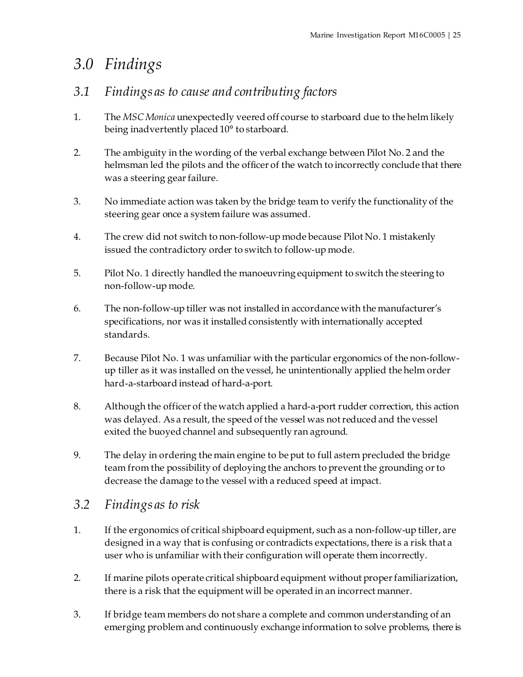# <span id="page-30-0"></span>*3.0 Findings*

## <span id="page-30-1"></span>*3.1 Findings as to cause and contributing factors*

- 1. The *MSC Monica* unexpectedly veered off course to starboard due to the helm likely being inadvertently placed 10° to starboard.
- 2. The ambiguity in the wording of the verbal exchange between Pilot No. 2 and the helmsman led the pilots and the officer of the watch to incorrectly conclude that there was a steering gear failure.
- 3. No immediate action was taken by the bridge team to verify the functionality of the steering gear once a system failure was assumed.
- 4. The crew did not switch to non-follow-up mode because Pilot No. 1 mistakenly issued the contradictory order to switch to follow-up mode.
- 5. Pilot No. 1 directly handled the manoeuvring equipment to switch the steering to non-follow-up mode.
- 6. The non-follow-up tiller was not installed in accordance with the manufacturer's specifications, nor was it installed consistently with internationally accepted standards.
- 7. Because Pilot No. 1 was unfamiliar with the particular ergonomics of the non-followup tiller as it was installed on the vessel, he unintentionally applied the helm order hard-a-starboard instead of hard-a-port.
- 8. Although the officer of the watch applied a hard-a-port rudder correction, this action was delayed. As a result, the speed of the vessel was not reduced and the vessel exited the buoyed channel and subsequently ran aground.
- 9. The delay in ordering the main engine to be put to full astern precluded the bridge team from the possibility of deploying the anchors to prevent the grounding or to decrease the damage to the vessel with a reduced speed at impact.

## <span id="page-30-2"></span>*3.2 Findings as to risk*

- 1. If the ergonomics of critical shipboard equipment, such as a non-follow-up tiller, are designed in a way that is confusing or contradicts expectations, there is a risk that a user who is unfamiliar with their configuration will operate them incorrectly.
- 2. If marine pilots operate critical shipboard equipment without proper familiarization, there is a risk that the equipment will be operated in an incorrect manner.
- 3. If bridge team members do not share a complete and common understanding of an emerging problem and continuously exchange information to solve problems, there is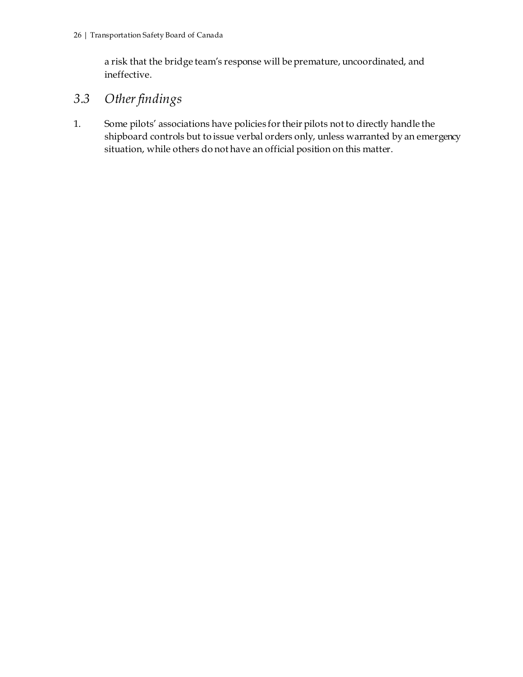a risk that the bridge team's response will be premature, uncoordinated, and ineffective.

## <span id="page-31-0"></span>*3.3 Other findings*

1. Some pilots' associations have policies for their pilots not to directly handle the shipboard controls but to issue verbal orders only, unless warranted by an emergency situation, while others do not have an official position on this matter.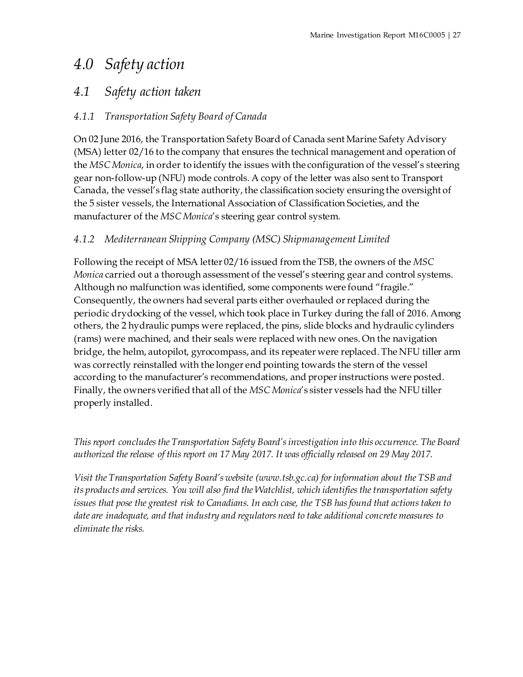# <span id="page-32-0"></span>*4.0 Safety action*

## <span id="page-32-1"></span>*4.1 Safety action taken*

### <span id="page-32-2"></span>*4.1.1 Transportation Safety Board of Canada*

On 02 June 2016, the Transportation Safety Board of Canada sent Marine Safety Advisory (MSA) letter 02/16 to the company that ensures the technical management and operation of the *MSC Monica*, in order to identify the issues with the configuration of the vessel's steering gear non-follow-up (NFU) mode controls. A copy of the letter was also sent to Transport Canada, the vessel's flag state authority, the classification society ensuring the oversight of the 5 sister vessels, the International Association of Classification Societies, and the manufacturer of the *MSC Monica*'s steering gear control system.

### <span id="page-32-3"></span>*4.1.2 Mediterranean Shipping Company (MSC) Shipmanagement Limited*

Following the receipt of MSA letter 02/16 issued from the TSB, the owners of the *MSC Monica* carried out a thorough assessment of the vessel's steering gear and control systems. Although no malfunction was identified, some components were found "fragile." Consequently, the owners had several parts either overhauled or replaced during the periodic drydocking of the vessel, which took place in Turkey during the fall of 2016. Among others, the 2 hydraulic pumps were replaced, the pins, slide blocks and hydraulic cylinders (rams) were machined, and their seals were replaced with new ones. On the navigation bridge, the helm, autopilot, gyrocompass, and its repeater were replaced. The NFU tiller arm was correctly reinstalled with the longer end pointing towards the stern of the vessel according to the manufacturer's recommendations, and proper instructions were posted. Finally, the owners verified that all of the *MSC Monica*'s sister vessels had the NFU tiller properly installed.

*This report concludes the Transportation Safety Board's investigation into this occurrence. The Board authorized the release of this report on 17 May 2017. It was officially released on 29 May 2017.*

*Visit the Transportation Safety Board's website (www.tsb.gc.ca) for information about the TSB and its products and services. You will also find the Watchlist, which identifies the transportation safety issues that pose the greatest risk to Canadians. In each case, the TSB has found that actions taken to date are inadequate, and that industry and regulators need to take additional concrete measures to eliminate the risks.*